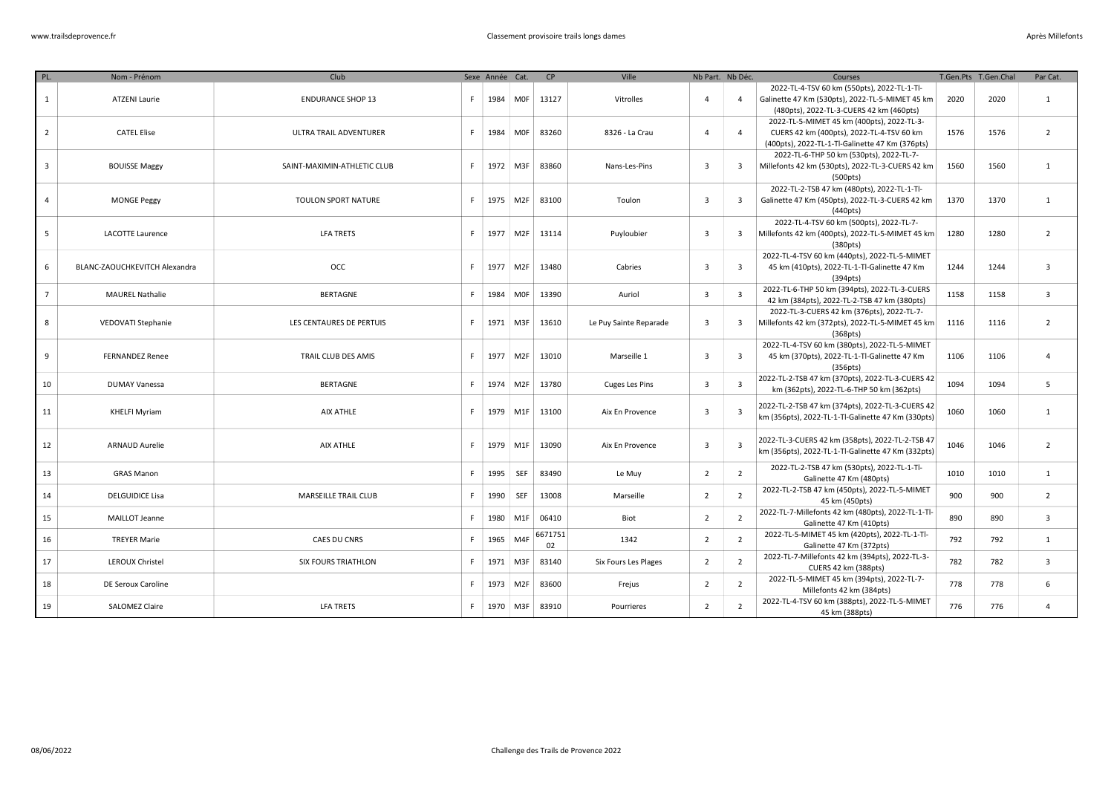| PL.            | Nom - Prénom                  | Club                        |    | Sexe Année Cat. |                 | CP            | Ville                  | Nb Part. Nb Déc.        |                         | Courses                                                                                                                                    | T.Gen.Pts T.Gen.Chal |      | Par Cat.                |
|----------------|-------------------------------|-----------------------------|----|-----------------|-----------------|---------------|------------------------|-------------------------|-------------------------|--------------------------------------------------------------------------------------------------------------------------------------------|----------------------|------|-------------------------|
| $\mathbf{1}$   | <b>ATZENI Laurie</b>          | <b>ENDURANCE SHOP 13</b>    | F  | 1984 MOF        |                 | 13127         | Vitrolles              | $\overline{4}$          | $\overline{4}$          | 2022-TL-4-TSV 60 km (550pts), 2022-TL-1-Tl-<br>Galinette 47 Km (530pts), 2022-TL-5-MIMET 45 km<br>(480pts), 2022-TL-3-CUERS 42 km (460pts) | 2020                 | 2020 | $\mathbf{1}$            |
| $\overline{2}$ | <b>CATEL Elise</b>            | ULTRA TRAIL ADVENTURER      | F. | 1984 MOF        |                 | 83260         | 8326 - La Crau         | $\overline{4}$          | $\overline{4}$          | 2022-TL-5-MIMET 45 km (400pts), 2022-TL-3-<br>CUERS 42 km (400pts), 2022-TL-4-TSV 60 km<br>(400pts), 2022-TL-1-Tl-Galinette 47 Km (376pts) | 1576                 | 1576 | $\overline{2}$          |
| $\overline{3}$ | <b>BOUISSE Maggy</b>          | SAINT-MAXIMIN-ATHLETIC CLUB | F. | 1972 M3F        |                 | 83860         | Nans-Les-Pins          | $\overline{\mathbf{3}}$ | 3                       | 2022-TL-6-THP 50 km (530pts), 2022-TL-7-<br>Millefonts 42 km (530pts), 2022-TL-3-CUERS 42 km<br>(500pts)                                   | 1560                 | 1560 | 1                       |
| $\overline{4}$ | <b>MONGE Peggy</b>            | TOULON SPORT NATURE         | F  | 1975 M2F        |                 | 83100         | Toulon                 | $\overline{\mathbf{3}}$ | $\overline{3}$          | 2022-TL-2-TSB 47 km (480pts), 2022-TL-1-Tl-<br>Galinette 47 Km (450pts), 2022-TL-3-CUERS 42 km<br>(440pts)                                 | 1370                 | 1370 | $\mathbf{1}$            |
| 5              | <b>LACOTTE Laurence</b>       | <b>LFA TRETS</b>            | F. |                 | 1977 M2F        | 13114         | Puyloubier             | $\overline{\mathbf{3}}$ | 3                       | 2022-TL-4-TSV 60 km (500pts), 2022-TL-7-<br>Millefonts 42 km (400pts), 2022-TL-5-MIMET 45 km<br>(380pts)                                   | 1280                 | 1280 | $\overline{2}$          |
| 6              | BLANC-ZAOUCHKEVITCH Alexandra | <b>OCC</b>                  | F. | 1977   M2F      |                 | 13480         | Cabries                | $\overline{\mathbf{3}}$ | 3                       | 2022-TL-4-TSV 60 km (440pts), 2022-TL-5-MIMET<br>45 km (410pts), 2022-TL-1-Tl-Galinette 47 Km<br>(394pts)                                  | 1244                 | 1244 | $\overline{\mathbf{3}}$ |
| $\overline{7}$ | <b>MAUREL Nathalie</b>        | <b>BERTAGNE</b>             | F  | 1984 MOF        |                 | 13390         | Auriol                 | $\overline{\mathbf{3}}$ | $\overline{\mathbf{3}}$ | 2022-TL-6-THP 50 km (394pts), 2022-TL-3-CUERS<br>42 km (384pts), 2022-TL-2-TSB 47 km (380pts)                                              | 1158                 | 1158 | $\overline{\mathbf{3}}$ |
| 8              | VEDOVATI Stephanie            | LES CENTAURES DE PERTUIS    | F  | 1971 M3F        |                 | 13610         | Le Puy Sainte Reparade | $\overline{\mathbf{3}}$ | 3                       | 2022-TL-3-CUERS 42 km (376pts), 2022-TL-7-<br>Millefonts 42 km (372pts), 2022-TL-5-MIMET 45 km<br>(368 <sub>pts</sub> )                    | 1116                 | 1116 | $\overline{2}$          |
| 9              | <b>FERNANDEZ Renee</b>        | TRAIL CLUB DES AMIS         | F  | 1977 M2F        |                 | 13010         | Marseille 1            | $\overline{\mathbf{3}}$ | $\overline{\mathbf{3}}$ | 2022-TL-4-TSV 60 km (380pts), 2022-TL-5-MIMET<br>45 km (370pts), 2022-TL-1-Tl-Galinette 47 Km<br>(356pts)                                  | 1106                 | 1106 | $\overline{a}$          |
| 10             | <b>DUMAY Vanessa</b>          | <b>BERTAGNE</b>             | F. | 1974 M2F        |                 | 13780         | <b>Cuges Les Pins</b>  | $\overline{\mathbf{3}}$ | 3                       | 2022-TL-2-TSB 47 km (370pts), 2022-TL-3-CUERS 42<br>km (362pts), 2022-TL-6-THP 50 km (362pts)                                              | 1094                 | 1094 | 5                       |
| 11             | <b>KHELFI Myriam</b>          | AIX ATHLE                   | F. | 1979 M1F        |                 | 13100         | Aix En Provence        | $\overline{\mathbf{3}}$ | $\overline{\mathbf{3}}$ | 2022-TL-2-TSB 47 km (374pts), 2022-TL-3-CUERS 42<br>km (356pts), 2022-TL-1-Tl-Galinette 47 Km (330pts)                                     | 1060                 | 1060 | 1                       |
| 12             | <b>ARNAUD Aurelie</b>         | AIX ATHLE                   | F  | 1979 M1F        |                 | 13090         | Aix En Provence        | $\overline{\mathbf{3}}$ | $\overline{\mathbf{3}}$ | 2022-TL-3-CUERS 42 km (358pts), 2022-TL-2-TSB 47<br>km (356pts), 2022-TL-1-Tl-Galinette 47 Km (332pts)                                     | 1046                 | 1046 | $\overline{2}$          |
| 13             | <b>GRAS Manon</b>             |                             | F. | 1995            | <b>SEF</b>      | 83490         | Le Muy                 | $\overline{2}$          | $\overline{2}$          | 2022-TL-2-TSB 47 km (530pts), 2022-TL-1-Tl-<br>Galinette 47 Km (480pts)                                                                    | 1010                 | 1010 | 1                       |
| 14             | <b>DELGUIDICE Lisa</b>        | <b>MARSEILLE TRAIL CLUB</b> | F  | 1990            | <b>SEF</b>      | 13008         | Marseille              | $\overline{2}$          | $\overline{2}$          | 2022-TL-2-TSB 47 km (450pts), 2022-TL-5-MIMET<br>45 km (450pts)                                                                            | 900                  | 900  | $\overline{2}$          |
| 15             | <b>MAILLOT Jeanne</b>         |                             | F  | 1980            | M <sub>1F</sub> | 06410         | Biot                   | $\overline{2}$          | $\overline{2}$          | 2022-TL-7-Millefonts 42 km (480pts), 2022-TL-1-Tl-<br>Galinette 47 Km (410pts)                                                             | 890                  | 890  | $\overline{3}$          |
| 16             | <b>TREYER Marie</b>           | CAES DU CNRS                | F  | 1965 M4F        |                 | 6671751<br>02 | 1342                   | $\overline{2}$          | $\overline{2}$          | 2022-TL-5-MIMET 45 km (420pts), 2022-TL-1-Tl-<br>Galinette 47 Km (372pts)                                                                  | 792                  | 792  | 1                       |
| 17             | <b>LEROUX Christel</b>        | SIX FOURS TRIATHLON         | F. | 1971 M3F        |                 | 83140         | Six Fours Les Plages   | $\overline{2}$          | $\overline{2}$          | 2022-TL-7-Millefonts 42 km (394pts), 2022-TL-3-<br>CUERS 42 km (388pts)                                                                    | 782                  | 782  | $\overline{3}$          |
| 18             | DE Seroux Caroline            |                             | F. | 1973 M2F        |                 | 83600         | Frejus                 | $\overline{2}$          | $\overline{2}$          | 2022-TL-5-MIMET 45 km (394pts), 2022-TL-7-<br>Millefonts 42 km (384pts)                                                                    | 778                  | 778  | 6                       |
| 19             | <b>SALOMEZ Claire</b>         | <b>LFA TRETS</b>            | F  |                 | 1970 M3F        | 83910         | Pourrieres             | $\overline{2}$          | $\overline{2}$          | 2022-TL-4-TSV 60 km (388pts), 2022-TL-5-MIMET<br>45 km (388pts)                                                                            | 776                  | 776  | $\overline{4}$          |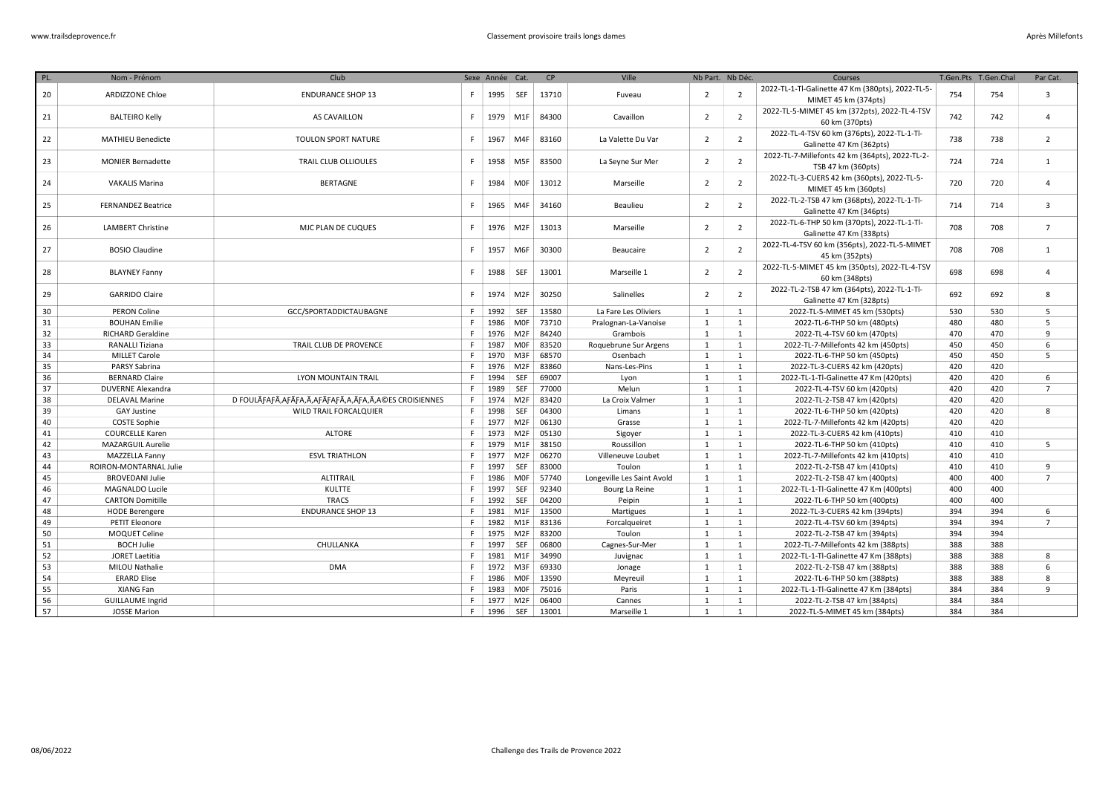| PL. | Nom - Prénom              | Club                                                        |    | Sexe Année Cat. |                  | CP    | Ville                      |                | Nb Part. Nb Déc. | Courses                                                                 |     | T.Gen.Pts T.Gen.Chal | Par Cat.       |
|-----|---------------------------|-------------------------------------------------------------|----|-----------------|------------------|-------|----------------------------|----------------|------------------|-------------------------------------------------------------------------|-----|----------------------|----------------|
| 20  | <b>ARDIZZONE Chloe</b>    | <b>ENDURANCE SHOP 13</b>                                    | F. | 1995            | <b>SEF</b>       | 13710 | Fuveau                     | $\overline{2}$ | $\overline{2}$   | 2022-TL-1-Tl-Galinette 47 Km (380pts), 2022-TL-5-                       | 754 | 754                  | $\overline{3}$ |
|     |                           |                                                             |    |                 |                  |       |                            |                |                  | MIMET 45 km (374pts)                                                    |     |                      |                |
| 21  | <b>BALTEIRO Kelly</b>     | AS CAVAILLON                                                | F. | 1979            | M <sub>1</sub> F | 84300 | Cavaillon                  | $\overline{2}$ | $\overline{2}$   | 2022-TL-5-MIMET 45 km (372pts), 2022-TL-4-TSV                           | 742 | 742                  | $\overline{4}$ |
|     |                           |                                                             |    |                 |                  |       |                            |                |                  | 60 km (370pts)                                                          |     |                      |                |
| 22  | <b>MATHIEU Benedicte</b>  | TOULON SPORT NATURE                                         | F  | 1967            | M4F              | 83160 | La Valette Du Var          | $\overline{2}$ | $\overline{2}$   | 2022-TL-4-TSV 60 km (376pts), 2022-TL-1-Tl-                             | 738 | 738                  | 2              |
|     |                           |                                                             |    |                 |                  |       |                            |                |                  | Galinette 47 Km (362pts)                                                |     |                      |                |
| 23  | <b>MONIER Bernadette</b>  | <b>TRAIL CLUB OLLIOULES</b>                                 | F  | 1958            | M <sub>5F</sub>  | 83500 | La Seyne Sur Mer           | $\overline{2}$ | $\overline{2}$   | 2022-TL-7-Millefonts 42 km (364pts), 2022-TL-2-                         | 724 | 724                  | 1              |
|     |                           |                                                             |    |                 |                  |       |                            |                |                  | TSB 47 km (360pts)                                                      |     |                      |                |
| 24  | <b>VAKALIS Marina</b>     | <b>BERTAGNE</b>                                             | F. | 1984            | <b>MOF</b>       | 13012 | Marseille                  | $\overline{2}$ | $\overline{2}$   | 2022-TL-3-CUERS 42 km (360pts), 2022-TL-5-                              | 720 | 720                  | $\overline{4}$ |
|     |                           |                                                             |    |                 |                  |       |                            |                |                  | MIMET 45 km (360pts)                                                    |     |                      |                |
| 25  | <b>FERNANDEZ Beatrice</b> |                                                             | F. | 1965            | M4F              | 34160 | Beaulieu                   | $\overline{2}$ | $\overline{2}$   | 2022-TL-2-TSB 47 km (368pts), 2022-TL-1-Tl-                             | 714 | 714                  | 3              |
|     |                           |                                                             |    |                 |                  |       |                            |                |                  | Galinette 47 Km (346pts)                                                |     |                      |                |
| 26  | <b>LAMBERT Christine</b>  | MJC PLAN DE CUQUES                                          | F. | 1976            | M <sub>2F</sub>  | 13013 | Marseille                  | $\overline{2}$ | $\overline{2}$   | 2022-TL-6-THP 50 km (370pts), 2022-TL-1-Tl-<br>Galinette 47 Km (338pts) | 708 | 708                  | $\overline{7}$ |
|     |                           |                                                             |    |                 |                  |       |                            |                |                  | 2022-TL-4-TSV 60 km (356pts), 2022-TL-5-MIMET                           |     |                      |                |
| 27  | <b>BOSIO Claudine</b>     |                                                             | F  | 1957            | M6F              | 30300 | Beaucaire                  | $\overline{2}$ | $\overline{2}$   | 45 km (352pts)                                                          | 708 | 708                  | 1              |
|     |                           |                                                             |    |                 |                  |       |                            |                |                  | 2022-TL-5-MIMET 45 km (350pts), 2022-TL-4-TSV                           |     |                      |                |
| 28  | <b>BLAYNEY Fanny</b>      |                                                             | F  | 1988            | SEF              | 13001 | Marseille 1                | $\overline{2}$ | $\overline{2}$   | 60 km (348pts)                                                          | 698 | 698                  | $\overline{4}$ |
|     |                           |                                                             |    |                 |                  |       |                            |                |                  | 2022-TL-2-TSB 47 km (364pts), 2022-TL-1-Tl-                             |     |                      |                |
| 29  | <b>GARRIDO Claire</b>     |                                                             | F. | 1974            | M <sub>2F</sub>  | 30250 | Salinelles                 | $\overline{2}$ | $\overline{2}$   | Galinette 47 Km (328pts)                                                | 692 | 692                  | 8              |
| 30  | <b>PERON Coline</b>       | GCC/SPORTADDICTAUBAGNE                                      | F. |                 | 1992 SEF         | 13580 | La Fare Les Oliviers       | $\mathbf{1}$   | 1                | 2022-TL-5-MIMET 45 km (530pts)                                          | 530 | 530                  | 5              |
| 31  | <b>BOUHAN Emilie</b>      |                                                             |    | 1986            | MOF              | 73710 | Pralognan-La-Vanoise       | $\mathbf{1}$   | 1                | 2022-TL-6-THP 50 km (480pts)                                            | 480 | 480                  | 5              |
| 32  | <b>RICHARD Geraldine</b>  |                                                             | F. | 1976            | M2F              | 84240 | Grambois                   | $\mathbf{1}$   | $\mathbf{1}$     | 2022-TL-4-TSV 60 km (470pts)                                            | 470 | 470                  | 9              |
| 33  | <b>RANALLI Tiziana</b>    | TRAIL CLUB DE PROVENCE                                      | E  | 1987            | MOF              | 83520 | Roquebrune Sur Argens      | $\mathbf{1}$   | $\mathbf{1}$     | 2022-TL-7-Millefonts 42 km (450pts)                                     | 450 | 450                  | 6              |
| 34  | <b>MILLET Carole</b>      |                                                             | F. | 1970            | M3F              | 68570 | Osenbach                   | $\mathbf{1}$   | $\mathbf{1}$     | 2022-TL-6-THP 50 km (450pts)                                            | 450 | 450                  | $\overline{5}$ |
| 35  | <b>PARSY Sabrina</b>      |                                                             |    |                 | 1976 M2F         | 83860 | Nans-Les-Pins              | $\mathbf{1}$   | 1                | 2022-TL-3-CUERS 42 km (420pts)                                          | 420 | 420                  |                |
| 36  | <b>BERNARD Claire</b>     | <b>LYON MOUNTAIN TRAIL</b>                                  | F. | 1994            | SEF              | 69007 | Lyon                       | 1              | 1                | 2022-TL-1-Tl-Galinette 47 Km (420pts)                                   | 420 | 420                  | 6              |
| 37  | DUVERNE Alexandra         |                                                             | F. | 1989            | SEF              | 77000 | Melun                      | 1              | 1                | 2022-TL-4-TSV 60 km (420pts)                                            | 420 | 420                  | $\overline{7}$ |
| 38  | <b>DELAVAL Marine</b>     | D FOULÃFAFÃ, AFÃFA, Ã, AFÃFAFÃ, A, ÃFA, Ã, A©ES CROISIENNES | F. |                 | 1974 M2F         | 83420 | La Croix Valmer            | 1              | 1                | 2022-TL-2-TSB 47 km (420pts)                                            | 420 | 420                  |                |
| 39  | <b>GAY Justine</b>        | WILD TRAIL FORCALQUIER                                      | F. | 1998            | SEF              | 04300 | Limans                     | $\mathbf{1}$   | 1                | 2022-TL-6-THP 50 km (420pts)                                            | 420 | 420                  | 8              |
| 40  | <b>COSTE Sophie</b>       |                                                             | F. |                 | 1977 M2F         | 06130 | Grasse                     | $\mathbf{1}$   | 1                | 2022-TL-7-Millefonts 42 km (420pts)                                     | 420 | 420                  |                |
| 41  | <b>COURCELLE Karen</b>    | <b>ALTORE</b>                                               |    | 1973            | M2F              | 05130 | Sigoyer                    | $\mathbf{1}$   | 1                | 2022-TL-3-CUERS 42 km (410pts)                                          | 410 | 410                  |                |
| 42  | <b>MAZARGUIL Aurelie</b>  |                                                             | F. | 1979            | M1F              | 38150 | Roussillon                 | $\mathbf{1}$   | 1                | 2022-TL-6-THP 50 km (410pts)                                            | 410 | 410                  | 5              |
| 43  | MAZZELLA Fanny            | <b>ESVL TRIATHLON</b>                                       |    | 1977            | M2F              | 06270 | Villeneuve Loubet          | $\mathbf{1}$   | $\mathbf{1}$     | 2022-TL-7-Millefonts 42 km (410pts)                                     | 410 | 410                  |                |
| 44  | ROIRON-MONTARNAL Julie    |                                                             | F. | 1997            | SEF              | 83000 | Toulon                     | $\mathbf{1}$   | $\mathbf{1}$     | 2022-TL-2-TSB 47 km (410pts)                                            | 410 | 410                  | 9              |
| 45  | <b>BROVEDANI Julie</b>    | ALTITRAIL                                                   |    | 1986            | MOF              | 57740 | Longeville Les Saint Avold | $\mathbf{1}$   | 1                | 2022-TL-2-TSB 47 km (400pts)                                            | 400 | 400                  | $\overline{7}$ |
| 46  | MAGNALDO Lucile           | KULTTE                                                      | F. | 1997            | SEF              | 92340 | Bourg La Reine             | $\mathbf{1}$   | $\mathbf{1}$     | 2022-TL-1-Tl-Galinette 47 Km (400pts)                                   | 400 | 400                  |                |
| 47  | <b>CARTON Domitille</b>   | <b>TRACS</b>                                                |    | 1992            | <b>SEF</b>       | 04200 | Peipin                     | $\mathbf{1}$   | $\mathbf{1}$     | 2022-TL-6-THP 50 km (400pts)                                            | 400 | 400                  |                |
| 48  | <b>HODE Berengere</b>     | <b>ENDURANCE SHOP 13</b>                                    | F  |                 | 1981 M1F         | 13500 | Martigues                  | $\mathbf{1}$   | $\mathbf{1}$     | 2022-TL-3-CUERS 42 km (394pts)                                          | 394 | 394                  | 6              |
| 49  | PETIT Eleonore            |                                                             |    | 1982            | M1F              | 83136 | Forcalqueiret              | $\mathbf{1}$   | 1                | 2022-TL-4-TSV 60 km (394pts)                                            | 394 | 394                  | $\overline{7}$ |
| 50  | MOQUET Celine             |                                                             | E  |                 | 1975 M2F         | 83200 | Toulon                     | $\mathbf{1}$   | 1                | 2022-TL-2-TSB 47 km (394pts)                                            | 394 | 394                  |                |
| 51  | <b>BOCH Julie</b>         | CHULLANKA                                                   |    | 1997            | SEF              | 06800 | Cagnes-Sur-Mer             | $\mathbf{1}$   | 1                | 2022-TL-7-Millefonts 42 km (388pts)                                     | 388 | 388                  |                |
| 52  | <b>JORET Laetitia</b>     |                                                             |    | 1981            | M1F              | 34990 | Juvignac                   | $\mathbf{1}$   | 1                | 2022-TL-1-Tl-Galinette 47 Km (388pts)                                   | 388 | 388                  | 8              |
| 53  | <b>MILOU Nathalie</b>     | <b>DMA</b>                                                  | F. | 1972            | M3F              | 69330 | Jonage                     | 1              | 1                | 2022-TL-2-TSB 47 km (388pts)                                            | 388 | 388                  | 6              |
| 54  | <b>ERARD Elise</b>        |                                                             |    | 1986            | MOF              | 13590 | Meyreuil                   | $\mathbf{1}$   | 1                | 2022-TL-6-THP 50 km (388pts)                                            | 388 | 388                  | 8              |
| 55  | XIANG Fan                 |                                                             | F. |                 | 1983 MOF         | 75016 | Paris                      | $\mathbf{1}$   | 1                | 2022-TL-1-Tl-Galinette 47 Km (384pts)                                   | 384 | 384                  | 9              |
| 56  | <b>GUILLAUME Ingrid</b>   |                                                             | F. |                 | 1977 M2F         | 06400 | Cannes                     | $\mathbf{1}$   | $\mathbf{1}$     | 2022-TL-2-TSB 47 km (384pts)                                            | 384 | 384                  |                |
| 57  | <b>JOSSE Marion</b>       |                                                             | F  |                 | 1996 SEF         | 13001 | Marseille 1                | $\mathbf{1}$   | 1                | 2022-TL-5-MIMET 45 km (384pts)                                          | 384 | 384                  |                |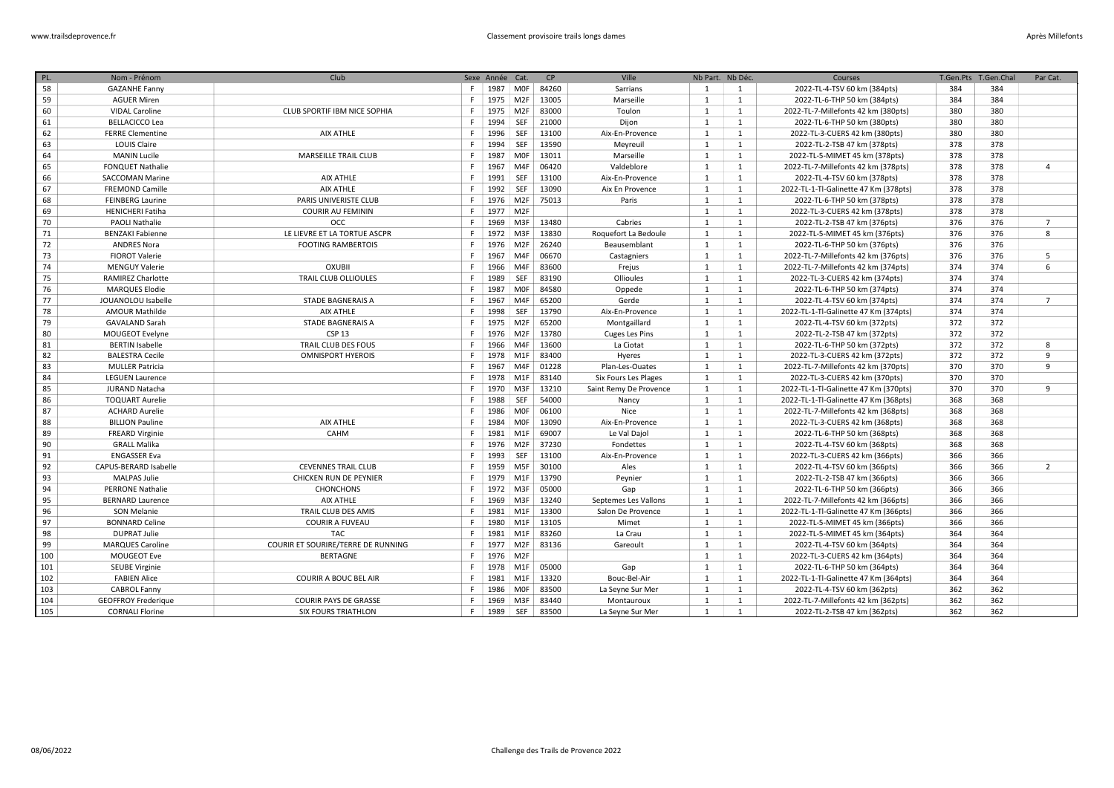| PL. | Nom - Prénom               | Club                               |    | Sexe Année Cat. |                 | CP    | Ville                  | Nb Part. Nb Déc. |                | Courses                               | T.Gen.Pts | T.Gen.Chal | Par Cat.       |
|-----|----------------------------|------------------------------------|----|-----------------|-----------------|-------|------------------------|------------------|----------------|---------------------------------------|-----------|------------|----------------|
| 58  | <b>GAZANHE Fanny</b>       |                                    | F. | 1987            | MOF             | 84260 | Sarrians               | 1                | $\overline{1}$ | 2022-TL-4-TSV 60 km (384pts)          | 384       | 384        |                |
| 59  | <b>AGUER Miren</b>         |                                    | F. | 1975 M2F        |                 | 13005 | Marseille              | 1                | <sup>1</sup>   | 2022-TL-6-THP 50 km (384pts)          | 384       | 384        |                |
| 60  | <b>VIDAL Caroline</b>      | CLUB SPORTIF IBM NICE SOPHIA       | F. | 1975            | M2F             | 83000 | Toulon                 | 1                | <sup>1</sup>   | 2022-TL-7-Millefonts 42 km (380pts)   | 380       | 380        |                |
| 61  | <b>BELLACICCO Lea</b>      |                                    | F. | 1994            | SEF             | 21000 | Dijon                  | 1                | 1              | 2022-TL-6-THP 50 km (380pts)          | 380       | 380        |                |
| 62  | <b>FERRE Clementine</b>    | AIX ATHLE                          | F. | 1996            | <b>SEF</b>      | 13100 | Aix-En-Provence        | 1                | 1              | 2022-TL-3-CUERS 42 km (380pts)        | 380       | 380        |                |
| 63  | <b>LOUIS Claire</b>        |                                    | F. | 1994            | SEF             | 13590 | Meyreuil               | 1                | 1              | 2022-TL-2-TSB 47 km (378pts)          | 378       | 378        |                |
| 64  | <b>MANIN Lucile</b>        | <b>MARSEILLE TRAIL CLUB</b>        | F. | 1987            | MOF             | 13011 | Marseille              | 1                | 1              | 2022-TL-5-MIMET 45 km (378pts)        | 378       | 378        |                |
| 65  | <b>FONQUET Nathalie</b>    |                                    | F. | 1967            | M4F             | 06420 | Valdeblore             | 1                | 1              | 2022-TL-7-Millefonts 42 km (378pts)   | 378       | 378        | $\overline{4}$ |
| 66  | <b>SACCOMAN Marine</b>     | AIX ATHLE                          | F. | 1991            | SEF             | 13100 | Aix-En-Provence        | 1                | 1              | 2022-TL-4-TSV 60 km (378pts)          | 378       | 378        |                |
| 67  | <b>FREMOND Camille</b>     | <b>AIX ATHLE</b>                   | F. | 1992            | SEF             | 13090 | Aix En Provence        | $\mathbf{1}$     | 1              | 2022-TL-1-Tl-Galinette 47 Km (378pts) | 378       | 378        |                |
| 68  | <b>FEINBERG Laurine</b>    | PARIS UNIVERISTE CLUB              | F. | 1976            | M <sub>2F</sub> | 75013 | Paris                  | 1                | 1              | 2022-TL-6-THP 50 km (378pts)          | 378       | 378        |                |
| 69  | <b>HENICHERI Fatiha</b>    | <b>COURIR AU FEMININ</b>           | F. | 1977 M2F        |                 |       |                        | $\mathbf{1}$     | 1              | 2022-TL-3-CUERS 42 km (378pts)        | 378       | 378        |                |
| 70  | <b>PAOLI Nathalie</b>      | <b>OCC</b>                         | F  | 1969            | M3F             | 13480 | Cabries                | 1                | <sup>1</sup>   | 2022-TL-2-TSB 47 km (376pts)          | 376       | 376        | $\overline{7}$ |
| 71  | <b>BENZAKI Fabienne</b>    | LE LIEVRE ET LA TORTUE ASCPR       | F  | 1972            | M3F             | 13830 | Roquefort La Bedoule   | $\mathbf{1}$     | $\mathbf{1}$   | 2022-TL-5-MIMET 45 km (376pts)        | 376       | 376        | 8              |
| 72  | <b>ANDRES Nora</b>         | <b>FOOTING RAMBERTOIS</b>          | F. | 1976            | M <sub>2F</sub> | 26240 | Beausemblant           | 1                | <sup>1</sup>   | 2022-TL-6-THP 50 km (376pts)          | 376       | 376        |                |
| 73  | <b>FIOROT Valerie</b>      |                                    | F  | 1967            | M4F             | 06670 | Castagniers            | $\mathbf{1}$     | $\mathbf{1}$   | 2022-TL-7-Millefonts 42 km (376pts)   | 376       | 376        | 5              |
| 74  | <b>MENGUY Valerie</b>      | <b>OXUBII</b>                      | F  | 1966            | M4F             | 83600 | Frejus                 | 1                | 1              | 2022-TL-7-Millefonts 42 km (374pts)   | 374       | 374        | 6              |
| 75  | <b>RAMIREZ Charlotte</b>   | <b>TRAIL CLUB OLLIOULES</b>        | F  | 1989            | <b>SEF</b>      | 83190 | Ollioules              | 1                | <sup>1</sup>   | 2022-TL-3-CUERS 42 km (374pts)        | 374       | 374        |                |
| 76  | <b>MARQUES Elodie</b>      |                                    | F. | 1987            | MOF             | 84580 | Oppede                 | 1                | 1              | 2022-TL-6-THP 50 km (374pts)          | 374       | 374        |                |
| 77  | JOUANOLOU Isabelle         | STADE BAGNERAIS A                  | F  | 1967            | M4F             | 65200 | Gerde                  | 1                | <sup>1</sup>   | 2022-TL-4-TSV 60 km (374pts)          | 374       | 374        | $\overline{7}$ |
| 78  | <b>AMOUR Mathilde</b>      | <b>AIX ATHLE</b>                   | F. | 1998            | SEF             | 13790 | Aix-En-Provence        | 1                | <sup>1</sup>   | 2022-TL-1-Tl-Galinette 47 Km (374pts) | 374       | 374        |                |
| 79  | <b>GAVALAND Sarah</b>      | STADE BAGNERAIS A                  | F. | 1975 M2F        |                 | 65200 | Montgaillard           | 1                | 1              | 2022-TL-4-TSV 60 km (372pts)          | 372       | 372        |                |
| 80  | MOUGEOT Evelyne            | CSP <sub>13</sub>                  | F. | 1976            | M2F             | 13780 | <b>Cuges Les Pins</b>  | 1                | 1              | 2022-TL-2-TSB 47 km (372pts)          | 372       | 372        |                |
| 81  | <b>BERTIN Isabelle</b>     | TRAIL CLUB DES FOUS                | F. | 1966            | M4F             | 13600 | La Ciotat              | 1                | <sup>1</sup>   | 2022-TL-6-THP 50 km (372pts)          | 372       | 372        | 8              |
| 82  | <b>BALESTRA Cecile</b>     | <b>OMNISPORT HYEROIS</b>           | F. | 1978            | M1F             | 83400 | Hyeres                 | 1                | 1              | 2022-TL-3-CUERS 42 km (372pts)        | 372       | 372        | 9              |
| 83  | <b>MULLER Patricia</b>     |                                    | F. | 1967            | M4F             | 01228 | Plan-Les-Ouates        | 1                | $\mathbf{1}$   | 2022-TL-7-Millefonts 42 km (370pts)   | 370       | 370        | 9              |
| 84  | <b>LEGUEN Laurence</b>     |                                    | F. | 1978 M1F        |                 | 83140 | Six Fours Les Plages   | $\mathbf{1}$     | 1              | 2022-TL-3-CUERS 42 km (370pts)        | 370       | 370        |                |
| 85  | JURAND Natacha             |                                    | F. | 1970            | M3F             | 13210 | Saint Remy De Provence | 1                | 1              | 2022-TL-1-Tl-Galinette 47 Km (370pts) | 370       | 370        | 9              |
| 86  | <b>TOQUART Aurelie</b>     |                                    | F. | 1988            | SEF             | 54000 | Nancy                  | 1                | $\mathbf{1}$   | 2022-TL-1-Tl-Galinette 47 Km (368pts) | 368       | 368        |                |
| 87  | <b>ACHARD Aurelie</b>      |                                    | F. | 1986            | MOF             | 06100 | Nice                   | $\mathbf{1}$     | 1              | 2022-TL-7-Millefonts 42 km (368pts)   | 368       | 368        |                |
| 88  | <b>BILLION Pauline</b>     | <b>AIX ATHLE</b>                   | F. | 1984            | MOF             | 13090 | Aix-En-Provence        | 1                | 1              | 2022-TL-3-CUERS 42 km (368pts)        | 368       | 368        |                |
| 89  | <b>FREARD Virginie</b>     | CAHM                               | F. | 1981            | M <sub>1F</sub> | 69007 | Le Val Dajol           | 1                | <sup>1</sup>   | 2022-TL-6-THP 50 km (368pts)          | 368       | 368        |                |
| 90  | <b>GRALL Malika</b>        |                                    | F. | 1976 M2F        |                 | 37230 | Fondettes              | 1                | <sup>1</sup>   | 2022-TL-4-TSV 60 km (368pts)          | 368       | 368        |                |
| 91  | <b>ENGASSER Eva</b>        |                                    | F. | 1993            | <b>SEF</b>      | 13100 | Aix-En-Provence        | 1                | 1              | 2022-TL-3-CUERS 42 km (366pts)        | 366       | 366        |                |
| 92  | CAPUS-BERARD Isabelle      | <b>CEVENNES TRAIL CLUB</b>         | F. | 1959            | M5F             | 30100 | Ales                   | 1                | <sup>1</sup>   | 2022-TL-4-TSV 60 km (366pts)          | 366       | 366        | $\overline{2}$ |
| 93  | <b>MALPAS Julie</b>        | CHICKEN RUN DE PEYNIER             | F. | 1979            | M <sub>1F</sub> | 13790 | Peynier                | 1                | 1              | 2022-TL-2-TSB 47 km (366pts)          | 366       | 366        |                |
| 94  | <b>PERRONE Nathalie</b>    | <b>CHONCHONS</b>                   | F. | 1972            | M3F             | 05000 | Gap                    | 1                | 1              | 2022-TL-6-THP 50 km (366pts)          | 366       | 366        |                |
| 95  | <b>BERNARD Laurence</b>    | AIX ATHLE                          | F. | 1969            | M3F             | 13240 | Septemes Les Vallons   | 1                | 1              | 2022-TL-7-Millefonts 42 km (366pts)   | 366       | 366        |                |
| 96  | SON Melanie                | TRAIL CLUB DES AMIS                | F. | 1981            | M1F             | 13300 | Salon De Provence      | 1                | <sup>1</sup>   | 2022-TL-1-Tl-Galinette 47 Km (366pts) | 366       | 366        |                |
| 97  | <b>BONNARD Celine</b>      | <b>COURIR A FUVEAU</b>             | F. | 1980            | M <sub>1F</sub> | 13105 | Mimet                  | 1                | 1              | 2022-TL-5-MIMET 45 km (366pts)        | 366       | 366        |                |
| 98  | <b>DUPRAT Julie</b>        | <b>TAC</b>                         | F. | 1981            | M <sub>1F</sub> | 83260 | La Crau                | $\mathbf{1}$     | 1              | 2022-TL-5-MIMET 45 km (364pts)        | 364       | 364        |                |
| 99  | <b>MARQUES Caroline</b>    | COURIR ET SOURIRE/TERRE DE RUNNING | F. | 1977            | M <sub>2F</sub> | 83136 | Gareoult               | 1                | 1              | 2022-TL-4-TSV 60 km (364pts)          | 364       | 364        |                |
| 100 | <b>MOUGEOT Eve</b>         | <b>BERTAGNE</b>                    | F. | 1976            | M <sub>2F</sub> |       |                        | 1                | 1              | 2022-TL-3-CUERS 42 km (364pts)        | 364       | 364        |                |
| 101 | <b>SEUBE Virginie</b>      |                                    | F  | 1978            | M1F             | 05000 | Gap                    | 1                | <sup>1</sup>   | 2022-TL-6-THP 50 km (364pts)          | 364       | 364        |                |
| 102 | <b>FABIEN Alice</b>        | <b>COURIR A BOUC BEL AIR</b>       | F. | 1981 M1F        |                 | 13320 | Bouc-Bel-Air           | 1                | 1              | 2022-TL-1-Tl-Galinette 47 Km (364pts) | 364       | 364        |                |
| 103 | <b>CABROL Fanny</b>        |                                    | F  | 1986            | MOF             | 83500 | La Seyne Sur Mer       | 1                | <sup>1</sup>   | 2022-TL-4-TSV 60 km (362pts)          | 362       | 362        |                |
| 104 | <b>GEOFFROY Frederique</b> | <b>COURIR PAYS DE GRASSE</b>       | F  | 1969            | M3F             | 83440 | Montauroux             | $\mathbf{1}$     | $\mathbf{1}$   | 2022-TL-7-Millefonts 42 km (362pts)   | 362       | 362        |                |
| 105 | <b>CORNALI Florine</b>     | <b>SIX FOURS TRIATHLON</b>         | F. | 1989            | SEF             | 83500 | La Seyne Sur Mer       | $\mathbf{1}$     | $\overline{1}$ | 2022-TL-2-TSB 47 km (362pts)          | 362       | 362        |                |